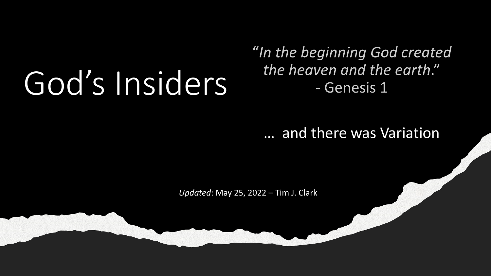# God's Insiders

### "In the beginning God created the heaven and the earth." - Genesis 1

… and there was Variation

*Updated*: May 25, 2022 – Tim J. Clark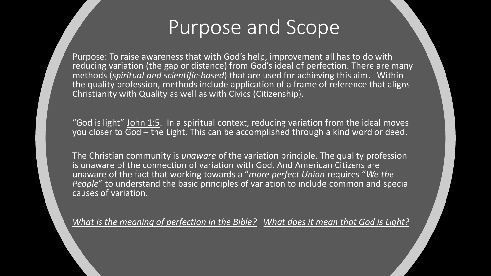### Purpose and Scope

Purpose: To raise awareness that with God's help, improvement all has to do with reducing variation (the gap or distance) from God's ideal of perfection. There are many methods (*spiritual and scientific-based*) that are used for achieving this aim. Within the quality profession, methods include application of a frame of reference that aligns Christianity with Quality as well as with Civics (Citizenship).

"God is light" [John 1:5.](https://biblia.com/bible/esv/1%20John%201.5) In a spiritual context, reducing variation from the ideal moves you closer to God – the Light. This can be accomplished through a kind word or deed.

The Christian community is *unaware* of the variation principle. The quality profession is unaware of the connection of variation with God. And American Citizens are unaware of the fact that working towards a "*more perfect Union* requires "*We the People*" to understand the basic principles of variation to include common and special causes of variation.

*[What is the meaning of perfection in the Bible?](https://www.gotquestions.org/perfection-in-the-Bible.html) [What does it mean that God is Light?](https://www.gotquestions.org/God-is-light.html)*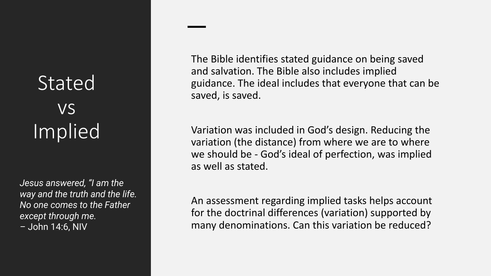# Stated vs Implied

*Jesus answered, "I am the way and the truth and the life. No one comes to the Father except through me. –* John 14:6, NIV

The Bible identifies stated guidance on being saved and salvation. The Bible also includes implied guidance. The ideal includes that everyone that can be saved, is saved.

Variation was included in God's design. Reducing the variation (the distance) from where we are to where we should be - God's ideal of perfection, was implied as well as stated.

An assessment regarding implied tasks helps account for the doctrinal differences (variation) supported by many denominations. Can this variation be reduced?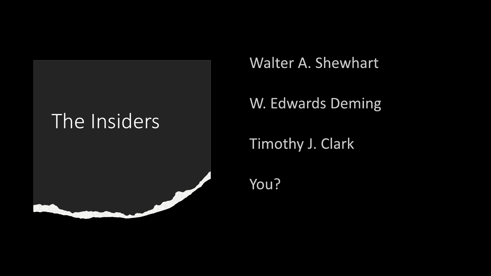## The Insiders



### Walter A. Shewhart

### W. Edwards Deming

Timothy J. Clark

You?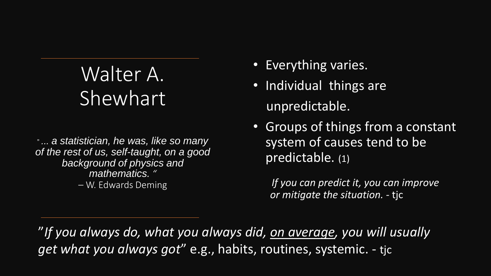# Walter A. Shewhart

" *... a statistician, he was, like so many of the rest of us, self-taught, on a good background of physics and mathematics. "*  – W. Edwards Deming

- Everything varies.
- Individual things are unpredictable.
- Groups of things from a constant system of causes tend to be predictable. (1)

*If you can predict it, you can improve or mitigate the situation. -* tjc

"*If you always do, what you always did, on average, you will usually get what you always got*" e.g., habits, routines, systemic. - tjc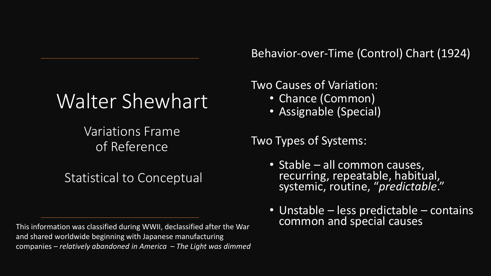# Walter Shewhart

Variations Frame of Reference

Statistical to Conceptual

This information was classified during WWII, declassified after the War and shared worldwide beginning with Japanese manufacturing companies – *relatively abandoned in America – The Light was dimmed*

Behavior-over-Time (Control) Chart (1924)

Two Causes of Variation:

- Chance (Common)
- Assignable (Special)

Two Types of Systems:

- Stable all common causes, recurring, repeatable, habitual, systemic, routine, "*predictable*."
- Unstable less predictable contains<br>common and special causes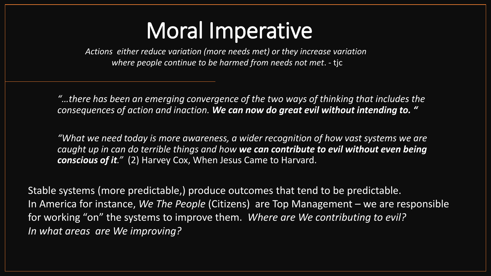# Moral Imperative

*Actions either reduce variation (more needs met) or they increase variation where people continue to be harmed from needs not met*. - tjc

*"…there has been an emerging convergence of the two ways of thinking that includes the consequences of action and inaction. We can now do great evil without intending to. "*

*"What we need today is more awareness, a wider recognition of how vast systems we are caught up in can do terrible things and how we can contribute to evil without even being conscious of it."* (2) Harvey Cox, When Jesus Came to Harvard.

Stable systems (more predictable,) produce outcomes that tend to be predictable. In America for instance, *We The People* (Citizens) are Top Management – we are responsible for working "on" the systems to improve them. *Where are We contributing to evil? In what areas are We improving?*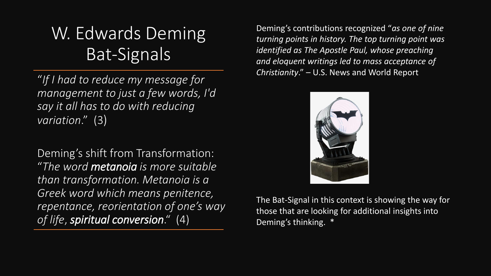### W. Edwards Deming Bat-Signals

"*If I had to reduce my message for management to just a few words, I'd say it all has to do with reducing variation*." (3)

Deming's shift from Transformation: "*The word metanoia is more suitable than transformation. Metanoia is a Greek word which means penitence, repentance, reorientation of one's way of life*, *spiritual conversion*." (4)

Deming's contributions recognized "*as one of nine turning points in history. The top turning point was identified as The Apostle Paul, whose preaching and eloquent writings led to mass acceptance of Christianity*." – U.S. News and World Report



The Bat-Signal in this context is showing the way for those that are looking for additional insights into Deming's thinking. \*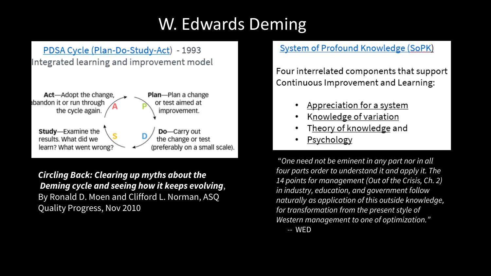### W. Edwards Deming

#### PDSA Cycle (Plan-Do-Study-Act) - 1993 Integrated learning and improvement model



*Circling Back: Clearing up myths about the Deming cycle and seeing how it keeps evolving*, By Ronald D. Moen and Clifford L. Norman, ASQ Quality Progress, Nov 2010

#### **System of Profound Knowledge (SoPK)**

Four interrelated components that support Continuous Improvement and Learning:

- Appreciation for a system
- Knowledge of variation
- Theory of knowledge and
- **Psychology**

"*One need not be eminent in any part nor in all four parts order to understand it and apply it. The 14 points for management (Out of the Crisis, Ch. 2) in industry, education, and government follow naturally as application of this outside knowledge, for transformation from the present style of Western management to one of optimization." --* WED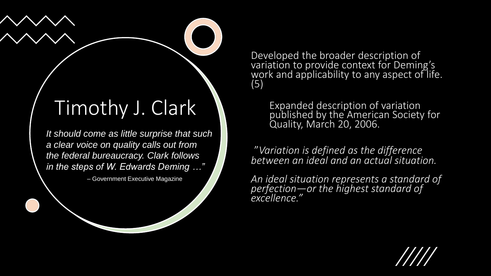### Timothy J. Clark

*It should come as little surprise that such a clear voice on quality calls out from the federal bureaucracy. Clark follows in the steps of W. Edwards Deming …"* 

*–* Government Executive Magazine

Developed the broader description of variation to provide context for Deming's work and applicability to any aspect of life. (5)

> Expanded description of variation published by the American Society for Quality, March 20, 2006.

"*Variation is defined as the difference between an ideal and an actual situation.* 

*An ideal situation represents a standard of perfection—or the highest standard of excellence."*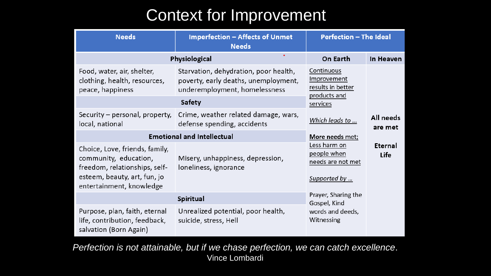### Context for Improvement

| <b>Needs</b>                                                                                                                                         | <b>Imperfection - Affects of Unmet</b><br><b>Perfection - The Ideal</b><br><b>Needs</b>                        |                                                                                     |                      |
|------------------------------------------------------------------------------------------------------------------------------------------------------|----------------------------------------------------------------------------------------------------------------|-------------------------------------------------------------------------------------|----------------------|
| Physiological                                                                                                                                        | On Earth                                                                                                       | In Heaven                                                                           |                      |
| Food, water, air, shelter,<br>clothing, health, resources,<br>peace, happiness                                                                       | Starvation, dehydration, poor health,<br>poverty, early deaths, unemployment,<br>underemployment, homelessness | Continuous<br>Improvement<br>results in better                                      |                      |
|                                                                                                                                                      | <b>Safety</b>                                                                                                  | products and<br>services                                                            |                      |
| Security – personal, property,<br>local, national                                                                                                    | Crime, weather related damage, wars,<br>defense spending, accidents                                            | Which leads to                                                                      | All needs<br>are met |
| <b>Emotional and Intellectual</b>                                                                                                                    | More needs met;                                                                                                |                                                                                     |                      |
| Choice, Love, friends, family,<br>community, education,<br>freedom, relationships, self-<br>esteem, beauty, art, fun, jo<br>entertainment, knowledge | Misery, unhappiness, depression,<br>loneliness, ignorance                                                      | Less harm on<br>Eternal<br>people when<br>Life<br>needs are not met<br>Supported by |                      |
|                                                                                                                                                      | Prayer, Sharing the<br>Gospel, Kind                                                                            |                                                                                     |                      |
| Purpose, plan, faith, eternal<br>life, contribution, feedback,<br>salvation (Born Again)                                                             | Unrealized potential, poor health,<br>suicide, stress, Hell                                                    | words and deeds,<br>Witnessing                                                      |                      |

*Perfection is not attainable, but if we chase perfection, we can catch excellence*. Vince Lombardi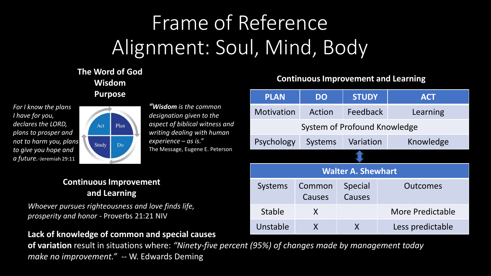# Frame of Reference Alignment: Soul, Mind, Body

#### **The Word of God Wisdom Purpose**

*For I know the plans I have for you, declares the LORD, plans to prosper and not to harm you, plans to give you hope and a future.-*Jeremiah 29:11



*"Wisdom is the common designation given to the aspect of biblical witness and writing dealing with human experience – as is."*  The Message, Eugene E. Peterson

#### **Continuous Improvement and Learning**

*Whoever pursues righteousness and love finds life, prosperity and honor -* Proverbs 21:21 NIV

#### **Lack of knowledge of common and special causes**

**of variation** result in situations where: *"Ninety-five percent (95%) of changes made by management today make no improvement." --* W. Edwards Deming

#### **Continuous Improvement and Learning**

| <b>PLAN</b>                  | <b>DO</b>      | <b>STUDY</b>   |  | <b>ACT</b>       |  |  |
|------------------------------|----------------|----------------|--|------------------|--|--|
| Motivation                   | Action         | Feedback       |  | Learning         |  |  |
| System of Profound Knowledge |                |                |  |                  |  |  |
| Psychology                   | <b>Systems</b> | Variation      |  | Knowledge        |  |  |
|                              |                |                |  |                  |  |  |
| <b>Walter A. Shewhart</b>    |                |                |  |                  |  |  |
| <b>Systems</b>               | Common         | <b>Special</b> |  | Outcomes         |  |  |
|                              | Causes         | Causes         |  |                  |  |  |
| <b>Stable</b>                | X              |                |  | More Predictable |  |  |
| Unstable                     | X              | X              |  | Less predictable |  |  |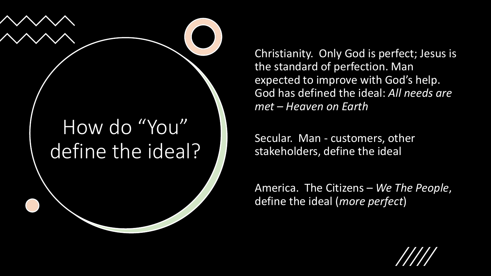

Christianity. Only God is perfect; Jesus is the standard of perfection. Man expected to improve with God's help. God has defined the ideal: *All needs are met – Heaven on Earth* 

Secular. Man - customers, other stakeholders, define the ideal

America. The Citizens – *We The People*, define the ideal (*more perfect*)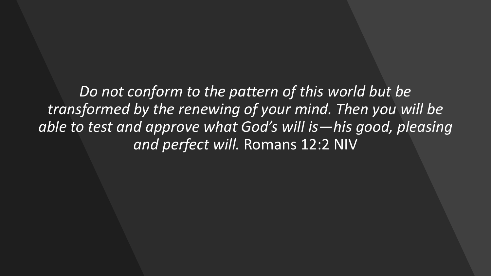*Do not conform to the pattern of this world but be transformed by the renewing of your mind. Then you will be able to test and approve what God's will is—his good, pleasing and perfect will.* Romans 12:2 NIV